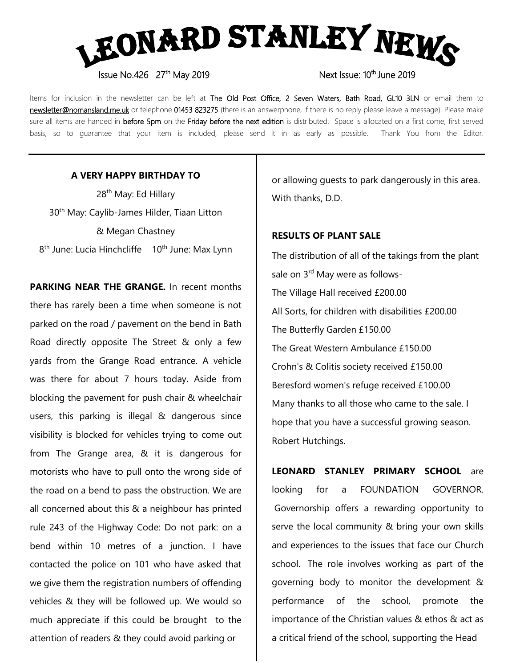

Issue No.426 27<sup>th</sup> May 2019

Items for inclusion in the newsletter can be left at The Old Post Office, 2 Seven Waters, Bath Road, GL10 3LN or email them to newsletter@nomansland.me.uk or telephone 01453 823275 (there is an answerphone, if there is no reply please leave a message). Please make sure all items are handed in before 5pm on the Friday before the next edition is distributed. Space is allocated on a first come, first served basis, so to guarantee that your item is included, please send it in as early as possible. Thank You from the Editor.

# **A VERY HAPPY BIRTHDAY TO**

28<sup>th</sup> May: Ed Hillary 30<sup>th</sup> May: Caylib-James Hilder, Tiaan Litton & Megan Chastney 8<sup>th</sup> June: Lucia Hinchcliffe 10<sup>th</sup> June: Max Lynn

**PARKING NEAR THE GRANGE.** In recent months there has rarely been a time when someone is not parked on the road / pavement on the bend in Bath Road directly opposite The Street & only a few yards from the Grange Road entrance. A vehicle was there for about 7 hours today. Aside from blocking the pavement for push chair & wheelchair users, this parking is illegal & dangerous since visibility is blocked for vehicles trying to come out from The Grange area, & it is dangerous for motorists who have to pull onto the wrong side of the road on a bend to pass the obstruction. We are all concerned about this & a neighbour has printed rule 243 of the Highway Code: Do not park: on a bend within 10 metres of a junction. I have contacted the police on 101 who have asked that we give them the registration numbers of offending vehicles & they will be followed up. We would so much appreciate if this could be brought to the attention of readers & they could avoid parking or

or allowing guests to park dangerously in this area. With thanks, D.D.

### **RESULTS OF PLANT SALE**

The distribution of all of the takings from the plant sale on 3<sup>rd</sup> May were as follows-The Village Hall received £200.00 All Sorts, for children with disabilities £200.00 The Butterfly Garden £150.00 The Great Western Ambulance £150.00 Crohn's & Colitis society received £150.00 Beresford women's refuge received £100.00 Many thanks to all those who came to the sale. I hope that you have a successful growing season. Robert Hutchings.

**LEONARD STANLEY PRIMARY SCHOOL** are looking for a FOUNDATION GOVERNOR. Governorship offers a rewarding opportunity to serve the local community & bring your own skills and experiences to the issues that face our Church school. The role involves working as part of the governing body to monitor the development & performance of the school, promote the importance of the Christian values & ethos & act as a critical friend of the school, supporting the Head